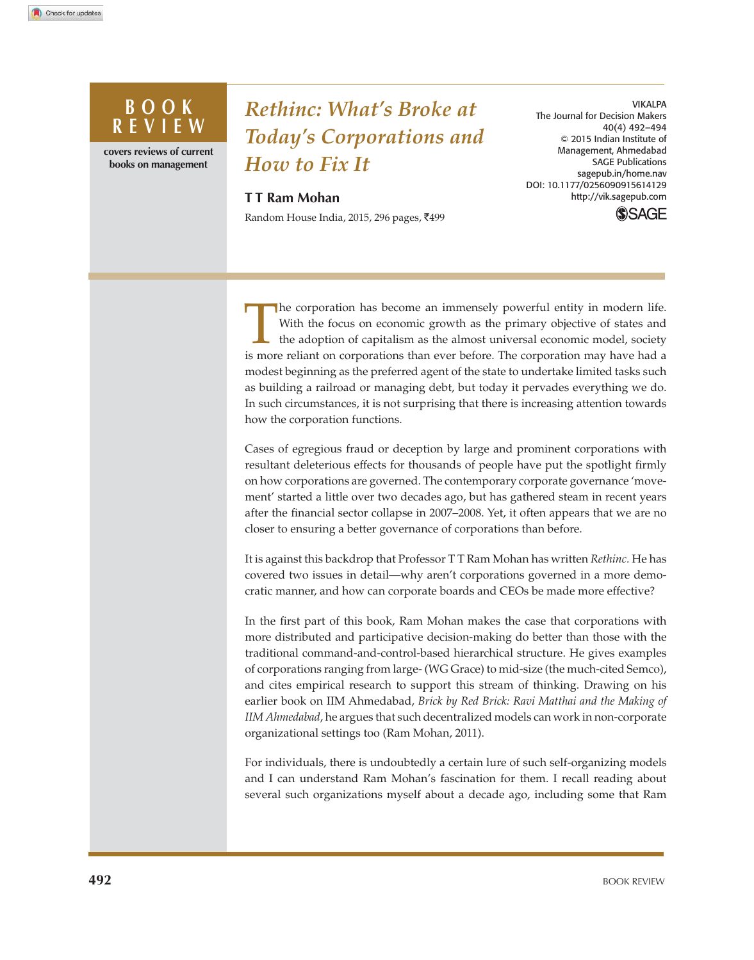## **BOOK R E V I E W**

**covers reviews of current books on management**

# *Rethinc: What's Broke at Today's Corporations and How to Fix It*

#### **T T Ram Mohan**

Random House India, 2015, 296 pages, ₹499

VIKALPA The Journal for Decision Makers 40(4) 492–494 © 2015 Indian Institute of Management, Ahmedabad SAGE Publications sagepub.in/home.nav DOI: 10.1177/0256090915614129 http://vik.sagepub.com

**SSAGE** 

I he corporation has become an immensely powerful entity in modern life.<br>With the focus on economic growth as the primary objective of states and<br>the adoption of capitalism as the almost universal economic model, society<br>i he corporation has become an immensely powerful entity in modern life. With the focus on economic growth as the primary objective of states and the adoption of capitalism as the almost universal economic model, society modest beginning as the preferred agent of the state to undertake limited tasks such as building a railroad or managing debt, but today it pervades everything we do. In such circumstances, it is not surprising that there is increasing attention towards how the corporation functions.

Cases of egregious fraud or deception by large and prominent corporations with resultant deleterious effects for thousands of people have put the spotlight firmly on how corporations are governed. The contemporary corporate governance 'movement' started a little over two decades ago, but has gathered steam in recent years after the financial sector collapse in 2007–2008. Yet, it often appears that we are no closer to ensuring a better governance of corporations than before.

It is against this backdrop that Professor T T Ram Mohan has written *Rethinc.* He has covered two issues in detail—why aren't corporations governed in a more democratic manner, and how can corporate boards and CEOs be made more effective?

In the first part of this book, Ram Mohan makes the case that corporations with more distributed and participative decision-making do better than those with the traditional command-and-control-based hierarchical structure. He gives examples of corporations ranging from large- (WG Grace) to mid-size (the much-cited Semco), and cites empirical research to support this stream of thinking. Drawing on his earlier book on IIM Ahmedabad, *Brick by Red Brick: Ravi Matthai and the Making of IIM Ahmedabad*, he argues that such decentralized models can work in non-corporate organizational settings too (Ram Mohan, 2011).

For individuals, there is undoubtedly a certain lure of such self-organizing models and I can understand Ram Mohan's fascination for them. I recall reading about several such organizations myself about a decade ago, including some that Ram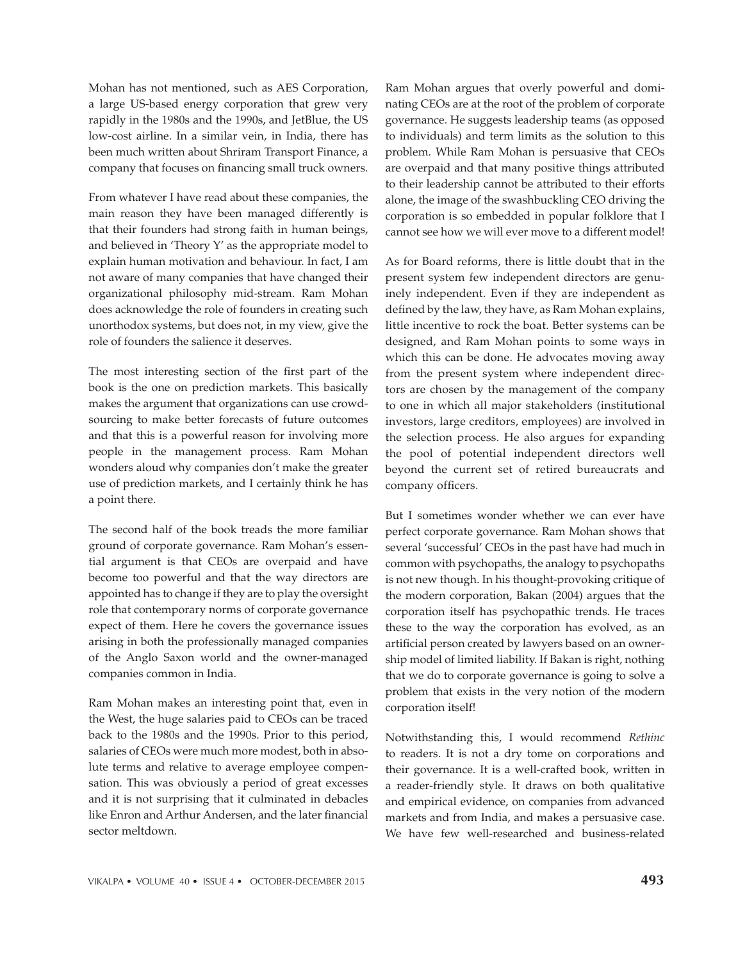Mohan has not mentioned, such as AES Corporation, a large US-based energy corporation that grew very rapidly in the 1980s and the 1990s, and JetBlue, the US low-cost airline. In a similar vein, in India, there has been much written about Shriram Transport Finance, a company that focuses on financing small truck owners.

From whatever I have read about these companies, the main reason they have been managed differently is that their founders had strong faith in human beings, and believed in 'Theory Y' as the appropriate model to explain human motivation and behaviour. In fact, I am not aware of many companies that have changed their organizational philosophy mid-stream. Ram Mohan does acknowledge the role of founders in creating such unorthodox systems, but does not, in my view, give the role of founders the salience it deserves.

The most interesting section of the first part of the book is the one on prediction markets. This basically makes the argument that organizations can use crowdsourcing to make better forecasts of future outcomes and that this is a powerful reason for involving more people in the management process. Ram Mohan wonders aloud why companies don't make the greater use of prediction markets, and I certainly think he has a point there.

The second half of the book treads the more familiar ground of corporate governance. Ram Mohan's essential argument is that CEOs are overpaid and have become too powerful and that the way directors are appointed has to change if they are to play the oversight role that contemporary norms of corporate governance expect of them. Here he covers the governance issues arising in both the professionally managed companies of the Anglo Saxon world and the owner-managed companies common in India.

Ram Mohan makes an interesting point that, even in the West, the huge salaries paid to CEOs can be traced back to the 1980s and the 1990s. Prior to this period, salaries of CEOs were much more modest, both in absolute terms and relative to average employee compensation. This was obviously a period of great excesses and it is not surprising that it culminated in debacles like Enron and Arthur Andersen, and the later financial sector meltdown.

Ram Mohan argues that overly powerful and dominating CEOs are at the root of the problem of corporate governance. He suggests leadership teams (as opposed to individuals) and term limits as the solution to this problem. While Ram Mohan is persuasive that CEOs are overpaid and that many positive things attributed to their leadership cannot be attributed to their efforts alone, the image of the swashbuckling CEO driving the corporation is so embedded in popular folklore that I cannot see how we will ever move to a different model!

As for Board reforms, there is little doubt that in the present system few independent directors are genuinely independent. Even if they are independent as defined by the law, they have, as Ram Mohan explains, little incentive to rock the boat. Better systems can be designed, and Ram Mohan points to some ways in which this can be done. He advocates moving away from the present system where independent directors are chosen by the management of the company to one in which all major stakeholders (institutional investors, large creditors, employees) are involved in the selection process. He also argues for expanding the pool of potential independent directors well beyond the current set of retired bureaucrats and company officers.

But I sometimes wonder whether we can ever have perfect corporate governance. Ram Mohan shows that several 'successful' CEOs in the past have had much in common with psychopaths, the analogy to psychopaths is not new though. In his thought-provoking critique of the modern corporation, Bakan (2004) argues that the corporation itself has psychopathic trends. He traces these to the way the corporation has evolved, as an artificial person created by lawyers based on an ownership model of limited liability. If Bakan is right, nothing that we do to corporate governance is going to solve a problem that exists in the very notion of the modern corporation itself!

Notwithstanding this, I would recommend *Rethinc* to readers. It is not a dry tome on corporations and their governance. It is a well-crafted book, written in a reader-friendly style. It draws on both qualitative and empirical evidence, on companies from advanced markets and from India, and makes a persuasive case. We have few well-researched and business-related